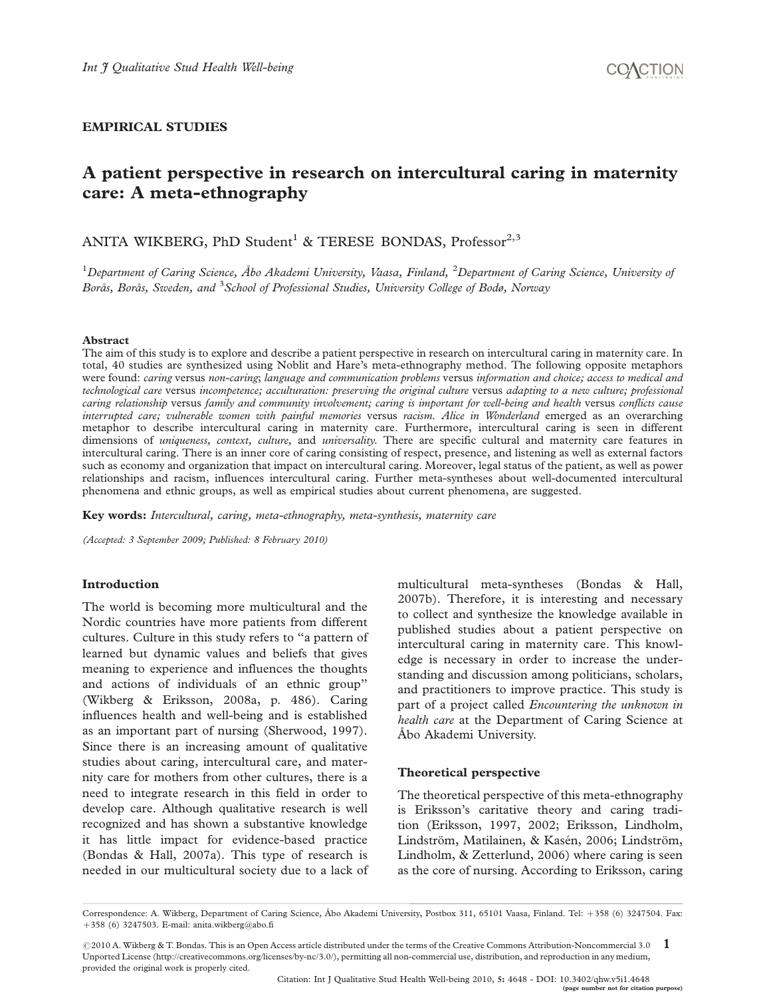#### EMPIRICAL STUDIES

# A patient perspective in research on intercultural caring in maternity care: A meta-ethnography

ANITA WIKBERG, PhD Student<sup>1</sup> & TERESE BONDAS, Professor<sup>2,3</sup>

<sup>1</sup>Department of Caring Science, Åbo Akademi University, Vaasa, Finland, <sup>2</sup>Department of Caring Science, University of Borås, Borås, Sweden, and <sup>3</sup>School of Professional Studies, University College of Bodø, Norway

#### Abstract

The aim of this study is to explore and describe a patient perspective in research on intercultural caring in maternity care. In total, 40 studies are synthesized using Noblit and Hare's meta-ethnography method. The following opposite metaphors were found: caring versus non-caring; language and communication problems versus information and choice; access to medical and technological care versus incompetence; acculturation: preserving the original culture versus adapting to a new culture; professional caring relationship versus family and community involvement; caring is important for well-being and health versus conflicts cause interrupted care; vulnerable women with painful memories versus racism. Alice in Wonderland emerged as an overarching metaphor to describe intercultural caring in maternity care. Furthermore, intercultural caring is seen in different dimensions of *uniqueness, context, culture,* and *universality*. There are specific cultural and maternity care features in intercultural caring. There is an inner core of caring consisting of respect, presence, and listening as well as external factors such as economy and organization that impact on intercultural caring. Moreover, legal status of the patient, as well as power relationships and racism, influences intercultural caring. Further meta-syntheses about well-documented intercultural phenomena and ethnic groups, as well as empirical studies about current phenomena, are suggested.

Key words: Intercultural, caring, meta-ethnography, meta-synthesis, maternity care

(Accepted: 3 September 2009; Published: 8 February 2010)

#### Introduction

The world is becoming more multicultural and the Nordic countries have more patients from different cultures. Culture in this study refers to ''a pattern of learned but dynamic values and beliefs that gives meaning to experience and influences the thoughts and actions of individuals of an ethnic group'' (Wikberg & Eriksson, 2008a, p. 486). Caring influences health and well-being and is established as an important part of nursing (Sherwood, 1997). Since there is an increasing amount of qualitative studies about caring, intercultural care, and maternity care for mothers from other cultures, there is a need to integrate research in this field in order to develop care. Although qualitative research is well recognized and has shown a substantive knowledge it has little impact for evidence-based practice (Bondas & Hall, 2007a). This type of research is needed in our multicultural society due to a lack of multicultural meta-syntheses (Bondas & Hall, 2007b). Therefore, it is interesting and necessary to collect and synthesize the knowledge available in published studies about a patient perspective on intercultural caring in maternity care. This knowledge is necessary in order to increase the understanding and discussion among politicians, scholars, and practitioners to improve practice. This study is part of a project called *Encountering the unknown in* health care at the Department of Caring Science at Åbo Akademi University.

#### Theoretical perspective

The theoretical perspective of this meta-ethnography is Eriksson's caritative theory and caring tradition (Eriksson, 1997, 2002; Eriksson, Lindholm, Lindström, Matilainen, & Kasén, 2006; Lindström, Lindholm, & Zetterlund, 2006) where caring is seen as the core of nursing. According to Eriksson, caring

Correspondence: A. Wikberg, Department of Caring Science, Åbo Akademi University, Postbox 311, 65101 Vaasa, Finland. Tel: +358 (6) 3247504. Fax:  $+358$  (6) 3247503. E-mail: anita.wikberg@abo.fi

<sup>©2010</sup> A. Wikberg & T. Bondas. This is an Open Access article distributed under the terms of the Creative Commons Attribution-Noncommercial 3.0  $\quad$   $\!$ Unported License (http://creativecommons.org/licenses/by-nc/3.0/), permitting all non-commercial use, distribution, and reproduction in any medium, provided the original work is properly cited.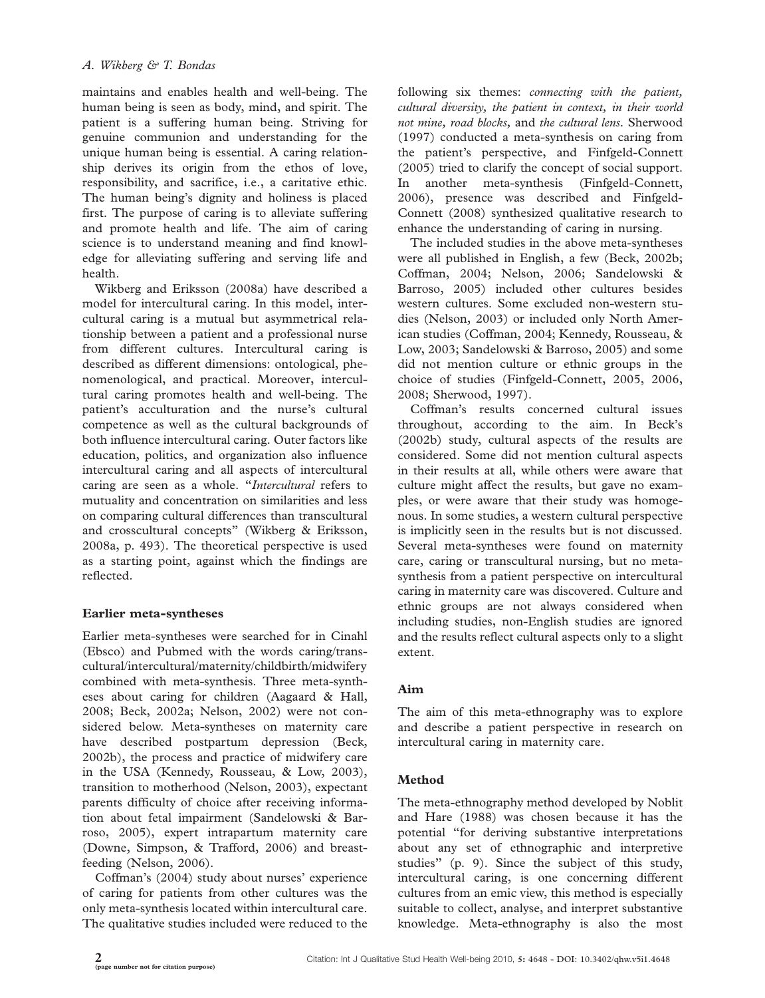maintains and enables health and well-being. The human being is seen as body, mind, and spirit. The patient is a suffering human being. Striving for genuine communion and understanding for the unique human being is essential. A caring relationship derives its origin from the ethos of love, responsibility, and sacrifice, i.e., a caritative ethic. The human being's dignity and holiness is placed first. The purpose of caring is to alleviate suffering and promote health and life. The aim of caring science is to understand meaning and find knowledge for alleviating suffering and serving life and health.

Wikberg and Eriksson (2008a) have described a model for intercultural caring. In this model, intercultural caring is a mutual but asymmetrical relationship between a patient and a professional nurse from different cultures. Intercultural caring is described as different dimensions: ontological, phenomenological, and practical. Moreover, intercultural caring promotes health and well-being. The patient's acculturation and the nurse's cultural competence as well as the cultural backgrounds of both influence intercultural caring. Outer factors like education, politics, and organization also influence intercultural caring and all aspects of intercultural caring are seen as a whole. "Intercultural refers to mutuality and concentration on similarities and less on comparing cultural differences than transcultural and crosscultural concepts'' (Wikberg & Eriksson, 2008a, p. 493). The theoretical perspective is used as a starting point, against which the findings are reflected.

## Earlier meta-syntheses

Earlier meta-syntheses were searched for in Cinahl (Ebsco) and Pubmed with the words caring/transcultural/intercultural/maternity/childbirth/midwifery combined with meta-synthesis. Three meta-syntheses about caring for children (Aagaard & Hall, 2008; Beck, 2002a; Nelson, 2002) were not considered below. Meta-syntheses on maternity care have described postpartum depression (Beck, 2002b), the process and practice of midwifery care in the USA (Kennedy, Rousseau, & Low, 2003), transition to motherhood (Nelson, 2003), expectant parents difficulty of choice after receiving information about fetal impairment (Sandelowski & Barroso, 2005), expert intrapartum maternity care (Downe, Simpson, & Trafford, 2006) and breastfeeding (Nelson, 2006).

Coffman's (2004) study about nurses' experience of caring for patients from other cultures was the only meta-synthesis located within intercultural care. The qualitative studies included were reduced to the following six themes: *connecting with the patient*, cultural diversity, the patient in context, in their world not mine, road blocks, and the cultural lens. Sherwood (1997) conducted a meta-synthesis on caring from the patient's perspective, and Finfgeld-Connett (2005) tried to clarify the concept of social support. In another meta-synthesis (Finfgeld-Connett, 2006), presence was described and Finfgeld-Connett (2008) synthesized qualitative research to enhance the understanding of caring in nursing.

The included studies in the above meta-syntheses were all published in English, a few (Beck, 2002b; Coffman, 2004; Nelson, 2006; Sandelowski & Barroso, 2005) included other cultures besides western cultures. Some excluded non-western studies (Nelson, 2003) or included only North American studies (Coffman, 2004; Kennedy, Rousseau, & Low, 2003; Sandelowski & Barroso, 2005) and some did not mention culture or ethnic groups in the choice of studies (Finfgeld-Connett, 2005, 2006, 2008; Sherwood, 1997).

Coffman's results concerned cultural issues throughout, according to the aim. In Beck's (2002b) study, cultural aspects of the results are considered. Some did not mention cultural aspects in their results at all, while others were aware that culture might affect the results, but gave no examples, or were aware that their study was homogenous. In some studies, a western cultural perspective is implicitly seen in the results but is not discussed. Several meta-syntheses were found on maternity care, caring or transcultural nursing, but no metasynthesis from a patient perspective on intercultural caring in maternity care was discovered. Culture and ethnic groups are not always considered when including studies, non-English studies are ignored and the results reflect cultural aspects only to a slight extent.

## Aim

The aim of this meta-ethnography was to explore and describe a patient perspective in research on intercultural caring in maternity care.

## Method

The meta-ethnography method developed by Noblit and Hare (1988) was chosen because it has the potential ''for deriving substantive interpretations about any set of ethnographic and interpretive studies'' (p. 9). Since the subject of this study, intercultural caring, is one concerning different cultures from an emic view, this method is especially suitable to collect, analyse, and interpret substantive knowledge. Meta-ethnography is also the most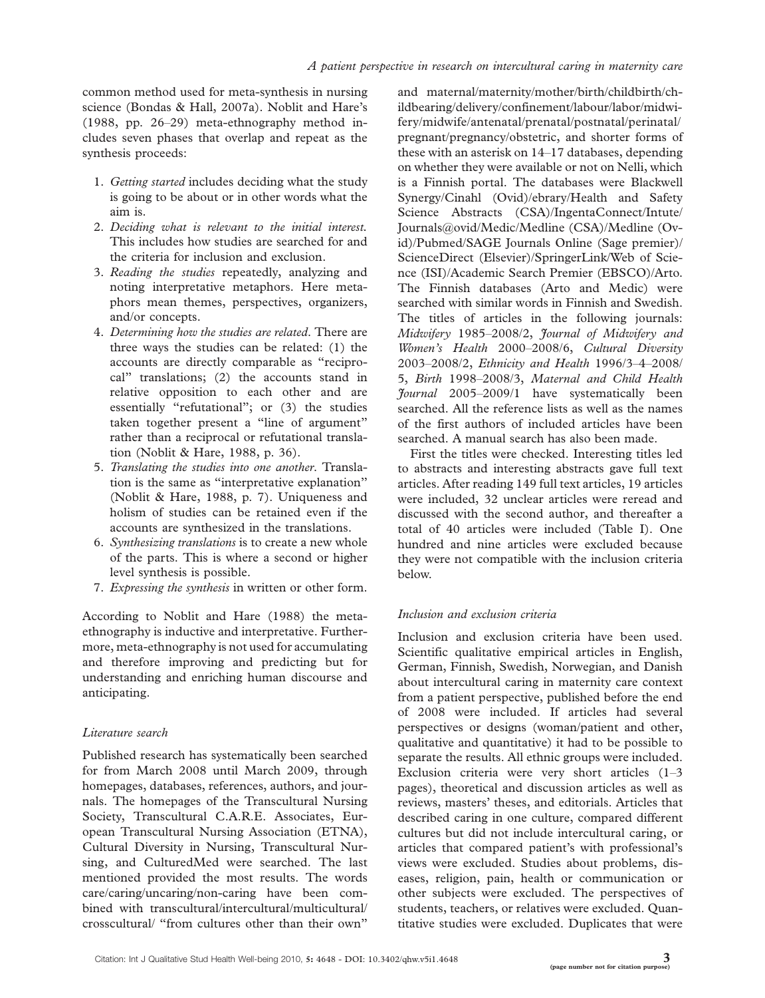common method used for meta-synthesis in nursing science (Bondas & Hall, 2007a). Noblit and Hare's (1988, pp. 26-29) meta-ethnography method includes seven phases that overlap and repeat as the synthesis proceeds:

- 1. Getting started includes deciding what the study is going to be about or in other words what the aim is.
- 2. Deciding what is relevant to the initial interest. This includes how studies are searched for and the criteria for inclusion and exclusion.
- 3. Reading the studies repeatedly, analyzing and noting interpretative metaphors. Here metaphors mean themes, perspectives, organizers, and/or concepts.
- 4. Determining how the studies are related. There are three ways the studies can be related: (1) the accounts are directly comparable as ''reciprocal'' translations; (2) the accounts stand in relative opposition to each other and are essentially "refutational"; or (3) the studies taken together present a ''line of argument'' rather than a reciprocal or refutational translation (Noblit & Hare, 1988, p. 36).
- 5. Translating the studies into one another. Translation is the same as ''interpretative explanation'' (Noblit & Hare, 1988, p. 7). Uniqueness and holism of studies can be retained even if the accounts are synthesized in the translations.
- 6. Synthesizing translations is to create a new whole of the parts. This is where a second or higher level synthesis is possible.
- 7. Expressing the synthesis in written or other form.

According to Noblit and Hare (1988) the metaethnography is inductive and interpretative. Furthermore, meta-ethnography is not used for accumulating and therefore improving and predicting but for understanding and enriching human discourse and anticipating.

## Literature search

Published research has systematically been searched for from March 2008 until March 2009, through homepages, databases, references, authors, and journals. The homepages of the Transcultural Nursing Society, Transcultural C.A.R.E. Associates, European Transcultural Nursing Association (ETNA), Cultural Diversity in Nursing, Transcultural Nursing, and CulturedMed were searched. The last mentioned provided the most results. The words care/caring/uncaring/non-caring have been combined with transcultural/intercultural/multicultural/ crosscultural/ ''from cultures other than their own''

and maternal/maternity/mother/birth/childbirth/childbearing/delivery/confinement/labour/labor/midwifery/midwife/antenatal/prenatal/postnatal/perinatal/ pregnant/pregnancy/obstetric, and shorter forms of these with an asterisk on 14-17 databases, depending on whether they were available or not on Nelli, which is a Finnish portal. The databases were Blackwell Synergy/Cinahl (Ovid)/ebrary/Health and Safety Science Abstracts (CSA)/IngentaConnect/Intute/ Journals@ovid/Medic/Medline (CSA)/Medline (Ovid)/Pubmed/SAGE Journals Online (Sage premier)/ ScienceDirect (Elsevier)/SpringerLink/Web of Science (ISI)/Academic Search Premier (EBSCO)/Arto. The Finnish databases (Arto and Medic) were searched with similar words in Finnish and Swedish. The titles of articles in the following journals: Midwifery 1985-2008/2, Journal of Midwifery and Women's Health 2000-2008/6, Cultural Diversity 2003-2008/2, Ethnicity and Health 1996/3-4-2008/ 5, Birth 1998-2008/3, Maternal and Child Health Journal 2005-2009/1 have systematically been searched. All the reference lists as well as the names of the first authors of included articles have been searched. A manual search has also been made.

First the titles were checked. Interesting titles led to abstracts and interesting abstracts gave full text articles. After reading 149 full text articles, 19 articles were included, 32 unclear articles were reread and discussed with the second author, and thereafter a total of 40 articles were included (Table I). One hundred and nine articles were excluded because they were not compatible with the inclusion criteria below.

## Inclusion and exclusion criteria

Inclusion and exclusion criteria have been used. Scientific qualitative empirical articles in English, German, Finnish, Swedish, Norwegian, and Danish about intercultural caring in maternity care context from a patient perspective, published before the end of 2008 were included. If articles had several perspectives or designs (woman/patient and other, qualitative and quantitative) it had to be possible to separate the results. All ethnic groups were included. Exclusion criteria were very short articles (1-3 pages), theoretical and discussion articles as well as reviews, masters' theses, and editorials. Articles that described caring in one culture, compared different cultures but did not include intercultural caring, or articles that compared patient's with professional's views were excluded. Studies about problems, diseases, religion, pain, health or communication or other subjects were excluded. The perspectives of students, teachers, or relatives were excluded. Quantitative studies were excluded. Duplicates that were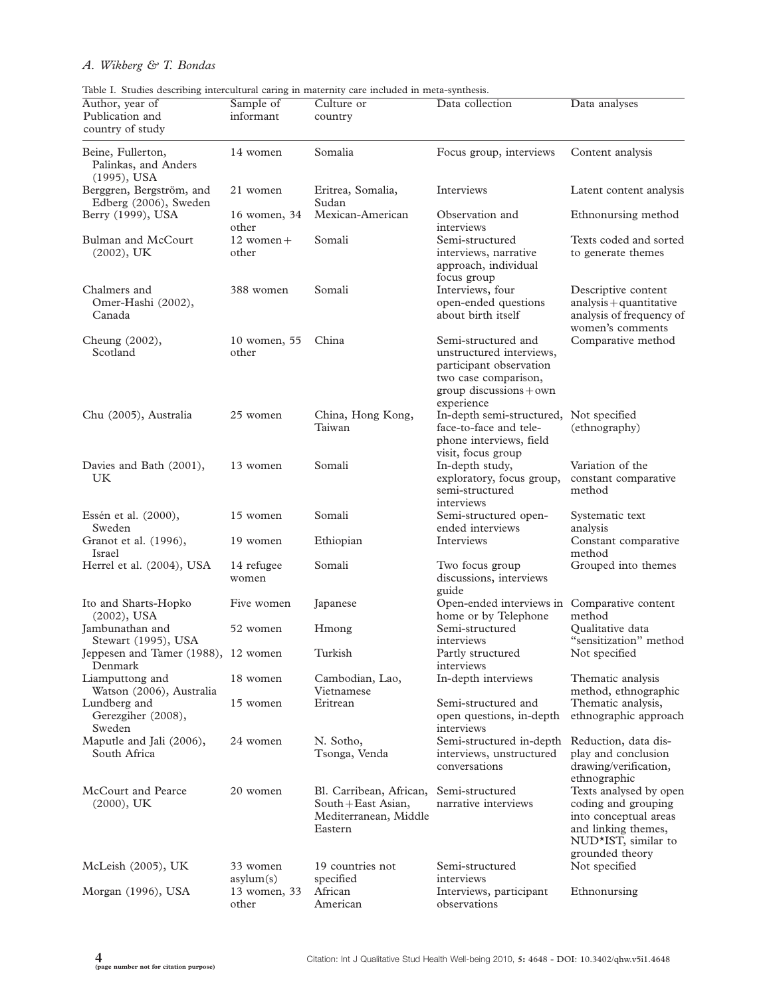# A. Wikberg & T. Bondas

Table I. Studies describing intercultural caring in maternity care included in meta-synthesis.

| raone r. Octanes deserioniz intercuitura caring in materinty care incruded in meta symmesis.<br>Author, year of | Sample of             | Culture or                                                                       | Data collection                                                                                                                                | Data analyses                                                                                                                           |
|-----------------------------------------------------------------------------------------------------------------|-----------------------|----------------------------------------------------------------------------------|------------------------------------------------------------------------------------------------------------------------------------------------|-----------------------------------------------------------------------------------------------------------------------------------------|
| Publication and<br>country of study                                                                             | informant             | country                                                                          |                                                                                                                                                |                                                                                                                                         |
| Beine, Fullerton,<br>Palinkas, and Anders<br>$(1995)$ , USA                                                     | 14 women              | Somalia                                                                          | Focus group, interviews                                                                                                                        | Content analysis                                                                                                                        |
| Berggren, Bergström, and<br>Edberg (2006), Sweden                                                               | 21 women              | Eritrea, Somalia,<br>Sudan                                                       | Interviews                                                                                                                                     | Latent content analysis                                                                                                                 |
| Berry (1999), USA                                                                                               | 16 women, 34<br>other | Mexican-American                                                                 | Observation and<br>interviews                                                                                                                  | Ethnonursing method                                                                                                                     |
| Bulman and McCourt<br>$(2002)$ , UK                                                                             | $12$ women +<br>other | Somali                                                                           | Semi-structured<br>interviews, narrative<br>approach, individual<br>focus group                                                                | Texts coded and sorted<br>to generate themes                                                                                            |
| Chalmers and<br>Omer-Hashi (2002),<br>Canada                                                                    | 388 women             | Somali                                                                           | Interviews, four<br>open-ended questions<br>about birth itself                                                                                 | Descriptive content<br>$analysis + quantitative$<br>analysis of frequency of<br>women's comments                                        |
| Cheung $(2002)$ ,<br>Scotland                                                                                   | 10 women, 55<br>other | China                                                                            | Semi-structured and<br>unstructured interviews,<br>participant observation<br>two case comparison,<br>$group$ discussions $+own$<br>experience | Comparative method                                                                                                                      |
| Chu (2005), Australia                                                                                           | 25 women              | China, Hong Kong,<br>Taiwan                                                      | In-depth semi-structured, Not specified<br>face-to-face and tele-<br>phone interviews, field<br>visit, focus group                             | (ethnography)                                                                                                                           |
| Davies and Bath (2001),<br>UK                                                                                   | 13 women              | Somali                                                                           | In-depth study,<br>exploratory, focus group,<br>semi-structured<br>interviews                                                                  | Variation of the<br>constant comparative<br>method                                                                                      |
| Essén et al. (2000),<br>Sweden                                                                                  | 15 women              | Somali                                                                           | Semi-structured open-<br>ended interviews                                                                                                      | Systematic text<br>analysis                                                                                                             |
| Granot et al. (1996),<br>Israel                                                                                 | 19 women              | Ethiopian                                                                        | Interviews                                                                                                                                     | Constant comparative<br>method                                                                                                          |
| Herrel et al. (2004), USA                                                                                       | 14 refugee<br>women   | Somali                                                                           | Two focus group<br>discussions, interviews<br>guide                                                                                            | Grouped into themes                                                                                                                     |
| Ito and Sharts-Hopko<br>(2002), USA                                                                             | Five women            | Japanese                                                                         | Open-ended interviews in Comparative content<br>home or by Telephone                                                                           | method                                                                                                                                  |
| Jambunathan and<br>Stewart (1995), USA                                                                          | 52 women              | Hmong                                                                            | Semi-structured<br>interviews                                                                                                                  | Qualitative data<br>"sensitization" method                                                                                              |
| Jeppesen and Tamer (1988), 12 women<br>Denmark                                                                  |                       | Turkish                                                                          | Partly structured<br>interviews                                                                                                                | Not specified                                                                                                                           |
| Liamputtong and<br>Watson (2006), Australia                                                                     | 18 women              | Cambodian, Lao,<br>Vietnamese                                                    | In-depth interviews                                                                                                                            | Thematic analysis<br>method, ethnographic                                                                                               |
| Lundberg and<br>Gerezgiher (2008),<br>Sweden                                                                    | 15 women              | Eritrean                                                                         | Semi-structured and<br>open questions, in-depth<br>interviews                                                                                  | Thematic analysis,<br>ethnographic approach                                                                                             |
| Maputle and Jali (2006),<br>South Africa                                                                        | 24 women              | N. Sotho,<br>Tsonga, Venda                                                       | Semi-structured in-depth<br>interviews, unstructured<br>conversations                                                                          | Reduction, data dis-<br>play and conclusion<br>drawing/verification,<br>ethnographic                                                    |
| McCourt and Pearce<br>(2000), UK                                                                                | 20 women              | Bl. Carribean, African,<br>South+East Asian,<br>Mediterranean, Middle<br>Eastern | Semi-structured<br>narrative interviews                                                                                                        | Texts analysed by open<br>coding and grouping<br>into conceptual areas<br>and linking themes,<br>NUD*IST, similar to<br>grounded theory |
| McLeish (2005), UK                                                                                              | 33 women<br>asylum(s) | 19 countries not<br>specified                                                    | Semi-structured<br>interviews                                                                                                                  | Not specified                                                                                                                           |
| Morgan (1996), USA                                                                                              | 13 women, 33<br>other | African<br>American                                                              | Interviews, participant<br>observations                                                                                                        | Ethnonursing                                                                                                                            |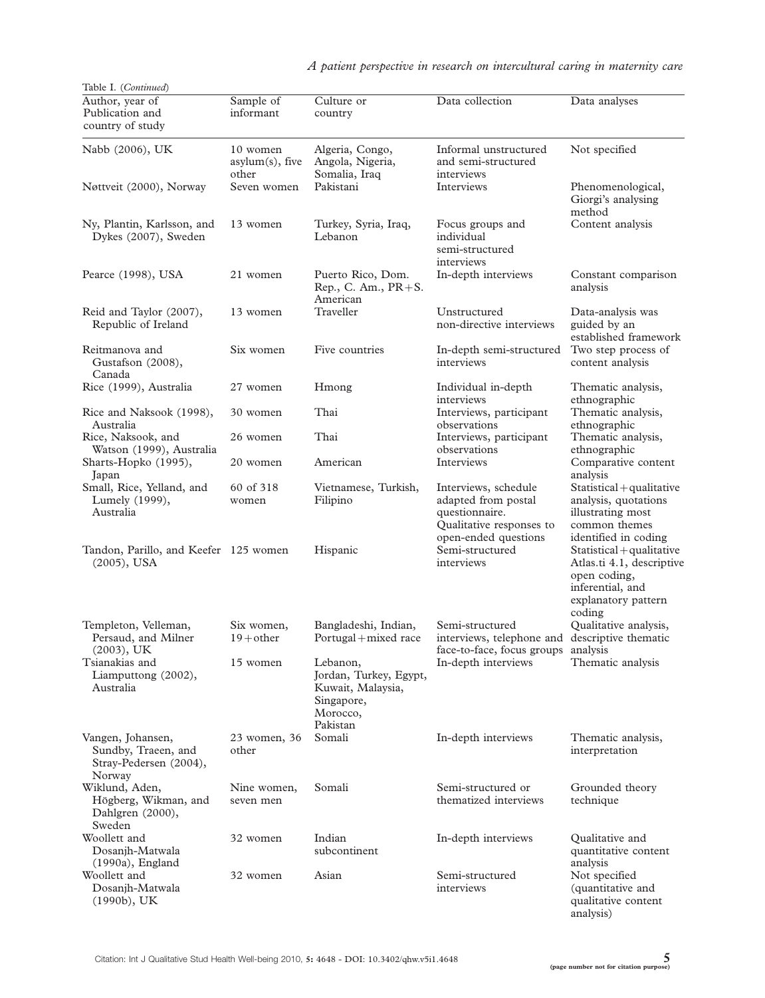| Table I. (Continued)                                                         |                                      |                                                                                               |                                                                                                                   |                                                                                                                               |
|------------------------------------------------------------------------------|--------------------------------------|-----------------------------------------------------------------------------------------------|-------------------------------------------------------------------------------------------------------------------|-------------------------------------------------------------------------------------------------------------------------------|
| Author, year of<br>Publication and<br>country of study                       | Sample of<br>informant               | Culture or<br>country                                                                         | Data collection                                                                                                   | Data analyses                                                                                                                 |
| Nabb (2006), UK                                                              | 10 women<br>asylum(s), five<br>other | Algeria, Congo,<br>Angola, Nigeria,<br>Somalia, Iraq                                          | Informal unstructured<br>and semi-structured<br>interviews                                                        | Not specified                                                                                                                 |
| Nøttveit (2000), Norway                                                      | Seven women                          | Pakistani                                                                                     | <b>Interviews</b>                                                                                                 | Phenomenological,<br>Giorgi's analysing<br>method                                                                             |
| Ny, Plantin, Karlsson, and<br>Dykes (2007), Sweden                           | 13 women                             | Turkey, Syria, Iraq,<br>Lebanon                                                               | Focus groups and<br>individual<br>semi-structured<br>interviews                                                   | Content analysis                                                                                                              |
| Pearce (1998), USA                                                           | 21 women                             | Puerto Rico, Dom.<br>Rep., C. Am., $PR + S$ .<br>American                                     | In-depth interviews                                                                                               | Constant comparison<br>analysis                                                                                               |
| Reid and Taylor (2007),<br>Republic of Ireland                               | 13 women                             | Traveller                                                                                     | Unstructured<br>non-directive interviews                                                                          | Data-analysis was<br>guided by an<br>established framework                                                                    |
| Reitmanova and<br>Gustafson (2008),<br>Canada                                | Six women                            | Five countries                                                                                | In-depth semi-structured<br>interviews                                                                            | Two step process of<br>content analysis                                                                                       |
| Rice (1999), Australia                                                       | 27 women                             | Hmong                                                                                         | Individual in-depth<br>interviews                                                                                 | Thematic analysis,<br>ethnographic                                                                                            |
| Rice and Naksook (1998),<br>Australia                                        | 30 women                             | Thai                                                                                          | Interviews, participant<br>observations                                                                           | Thematic analysis,<br>ethnographic                                                                                            |
| Rice, Naksook, and<br>Watson (1999), Australia                               | 26 women                             | Thai                                                                                          | Interviews, participant<br>observations                                                                           | Thematic analysis,<br>ethnographic                                                                                            |
| Sharts-Hopko (1995),<br>Japan                                                | 20 women                             | American                                                                                      | <b>Interviews</b>                                                                                                 | Comparative content<br>analysis                                                                                               |
| Small, Rice, Yelland, and<br>Lumely (1999),<br>Australia                     | 60 of 318<br>women                   | Vietnamese, Turkish,<br>Filipino                                                              | Interviews, schedule<br>adapted from postal<br>questionnaire.<br>Qualitative responses to<br>open-ended questions | Statistical + qualitative<br>analysis, quotations<br>illustrating most<br>common themes<br>identified in coding               |
| Tandon, Parillo, and Keefer 125 women<br>$(2005)$ , USA                      |                                      | Hispanic                                                                                      | Semi-structured<br>interviews                                                                                     | $Statistical + qualitative$<br>Atlas.ti 4.1, descriptive<br>open coding,<br>inferential, and<br>explanatory pattern<br>coding |
| Templeton, Velleman,<br>Persaud, and Milner<br>$(2003)$ , UK                 | Six women,<br>$19 +$ other           | Bangladeshi, Indian,<br>Portugal+mixed race                                                   | Semi-structured<br>interviews, telephone and descriptive thematic<br>face-to-face, focus groups analysis          | Qualitative analysis,                                                                                                         |
| Tsianakias and<br>Liamputtong (2002),<br>Australia                           | 15 women                             | Lebanon,<br>Jordan, Turkey, Egypt,<br>Kuwait, Malaysia,<br>Singapore,<br>Morocco,<br>Pakistan | In-depth interviews                                                                                               | Thematic analysis                                                                                                             |
| Vangen, Johansen,<br>Sundby, Traeen, and<br>Stray-Pedersen (2004),<br>Norway | 23 women, 36<br>other                | Somali                                                                                        | In-depth interviews                                                                                               | Thematic analysis,<br>interpretation                                                                                          |
| Wiklund, Aden,<br>Högberg, Wikman, and<br>Dahlgren (2000),<br>Sweden         | Nine women,<br>seven men             | Somali                                                                                        | Semi-structured or<br>thematized interviews                                                                       | Grounded theory<br>technique                                                                                                  |
| Woollett and<br>Dosanjh-Matwala<br>(1990a), England                          | 32 women                             | Indian<br>subcontinent                                                                        | In-depth interviews                                                                                               | Qualitative and<br>quantitative content<br>analysis                                                                           |
| Woollett and<br>Dosanjh-Matwala<br>(1990b), UK                               | 32 women                             | Asian                                                                                         | Semi-structured<br>interviews                                                                                     | Not specified<br>(quantitative and<br>qualitative content<br>analysis)                                                        |

A patient perspective in research on intercultural caring in maternity care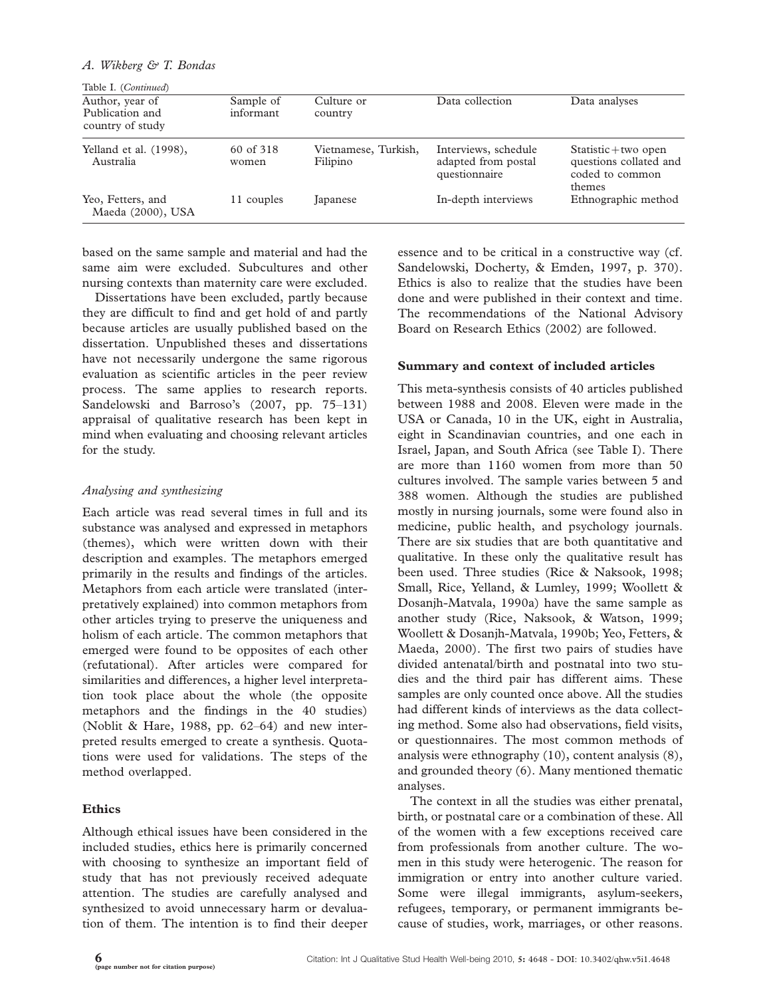A. Wikberg & T. Bondas

|  | Table I. (Continued) |
|--|----------------------|

| rapic <i>r.</i> ( <i>Commed</i> )                      |                               |                                  |                                                              |                                                                               |
|--------------------------------------------------------|-------------------------------|----------------------------------|--------------------------------------------------------------|-------------------------------------------------------------------------------|
| Author, year of<br>Publication and<br>country of study | Sample of<br>informant        | Culture or<br>country            | Data collection                                              | Data analyses                                                                 |
| Yelland et al. (1998),<br>Australia                    | $60 \text{ of } 318$<br>women | Vietnamese, Turkish,<br>Filipino | Interviews, schedule<br>adapted from postal<br>questionnaire | Statistic $+$ two open<br>questions collated and<br>coded to common<br>themes |
| Yeo, Fetters, and<br>Maeda (2000), USA                 | 11 couples                    | Japanese                         | In-depth interviews                                          | Ethnographic method                                                           |

based on the same sample and material and had the same aim were excluded. Subcultures and other nursing contexts than maternity care were excluded.

Dissertations have been excluded, partly because they are difficult to find and get hold of and partly because articles are usually published based on the dissertation. Unpublished theses and dissertations have not necessarily undergone the same rigorous evaluation as scientific articles in the peer review process. The same applies to research reports. Sandelowski and Barroso's (2007, pp. 75-131) appraisal of qualitative research has been kept in mind when evaluating and choosing relevant articles for the study.

## Analysing and synthesizing

Each article was read several times in full and its substance was analysed and expressed in metaphors (themes), which were written down with their description and examples. The metaphors emerged primarily in the results and findings of the articles. Metaphors from each article were translated (interpretatively explained) into common metaphors from other articles trying to preserve the uniqueness and holism of each article. The common metaphors that emerged were found to be opposites of each other (refutational). After articles were compared for similarities and differences, a higher level interpretation took place about the whole (the opposite metaphors and the findings in the 40 studies) (Noblit & Hare, 1988, pp. 62-64) and new interpreted results emerged to create a synthesis. Quotations were used for validations. The steps of the method overlapped.

# **Ethics**

Although ethical issues have been considered in the included studies, ethics here is primarily concerned with choosing to synthesize an important field of study that has not previously received adequate attention. The studies are carefully analysed and synthesized to avoid unnecessary harm or devaluation of them. The intention is to find their deeper essence and to be critical in a constructive way (cf. Sandelowski, Docherty, & Emden, 1997, p. 370). Ethics is also to realize that the studies have been done and were published in their context and time. The recommendations of the National Advisory Board on Research Ethics (2002) are followed.

# Summary and context of included articles

This meta-synthesis consists of 40 articles published between 1988 and 2008. Eleven were made in the USA or Canada, 10 in the UK, eight in Australia, eight in Scandinavian countries, and one each in Israel, Japan, and South Africa (see Table I). There are more than 1160 women from more than 50 cultures involved. The sample varies between 5 and 388 women. Although the studies are published mostly in nursing journals, some were found also in medicine, public health, and psychology journals. There are six studies that are both quantitative and qualitative. In these only the qualitative result has been used. Three studies (Rice & Naksook, 1998; Small, Rice, Yelland, & Lumley, 1999; Woollett & Dosanjh-Matvala, 1990a) have the same sample as another study (Rice, Naksook, & Watson, 1999; Woollett & Dosanjh-Matvala, 1990b; Yeo, Fetters, & Maeda, 2000). The first two pairs of studies have divided antenatal/birth and postnatal into two studies and the third pair has different aims. These samples are only counted once above. All the studies had different kinds of interviews as the data collecting method. Some also had observations, field visits, or questionnaires. The most common methods of analysis were ethnography (10), content analysis (8), and grounded theory (6). Many mentioned thematic analyses.

The context in all the studies was either prenatal, birth, or postnatal care or a combination of these. All of the women with a few exceptions received care from professionals from another culture. The women in this study were heterogenic. The reason for immigration or entry into another culture varied. Some were illegal immigrants, asylum-seekers, refugees, temporary, or permanent immigrants because of studies, work, marriages, or other reasons.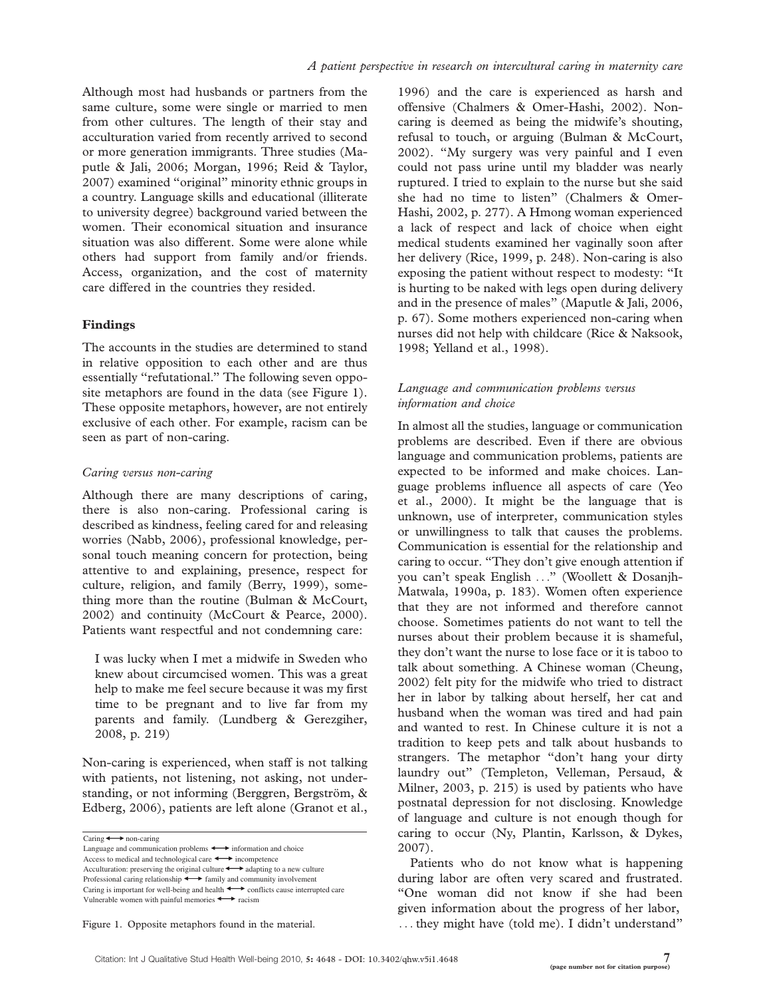Although most had husbands or partners from the same culture, some were single or married to men from other cultures. The length of their stay and acculturation varied from recently arrived to second or more generation immigrants. Three studies (Maputle & Jali, 2006; Morgan, 1996; Reid & Taylor, 2007) examined ''original'' minority ethnic groups in a country. Language skills and educational (illiterate to university degree) background varied between the women. Their economical situation and insurance situation was also different. Some were alone while others had support from family and/or friends. Access, organization, and the cost of maternity care differed in the countries they resided.

## Findings

The accounts in the studies are determined to stand in relative opposition to each other and are thus essentially "refutational." The following seven opposite metaphors are found in the data (see Figure 1). These opposite metaphors, however, are not entirely exclusive of each other. For example, racism can be seen as part of non-caring.

#### Caring versus non-caring

Although there are many descriptions of caring, there is also non-caring. Professional caring is described as kindness, feeling cared for and releasing worries (Nabb, 2006), professional knowledge, personal touch meaning concern for protection, being attentive to and explaining, presence, respect for culture, religion, and family (Berry, 1999), something more than the routine (Bulman & McCourt, 2002) and continuity (McCourt & Pearce, 2000). Patients want respectful and not condemning care:

I was lucky when I met a midwife in Sweden who knew about circumcised women. This was a great help to make me feel secure because it was my first time to be pregnant and to live far from my parents and family. (Lundberg & Gerezgiher, 2008, p. 219)

Non-caring is experienced, when staff is not talking with patients, not listening, not asking, not understanding, or not informing (Berggren, Bergström, & Edberg, 2006), patients are left alone (Granot et al.,

Caring  $\longleftrightarrow$  non-caring

Language and communication problems  $\longleftrightarrow$  information and choice Acculturation: preserving the original culture  $\longleftrightarrow$  adapting to a new culture Professional caring relationship  $\longleftrightarrow$  family and community involvement Caring is important for well-being and health  $\longleftrightarrow$  conflicts cause interrupted care Vulnerable women with painful memories  $\longleftrightarrow$  racism Access to medical and technological care  $\longleftrightarrow$  incompetence



1996) and the care is experienced as harsh and offensive (Chalmers & Omer-Hashi, 2002). Noncaring is deemed as being the midwife's shouting, refusal to touch, or arguing (Bulman & McCourt, 2002). ''My surgery was very painful and I even could not pass urine until my bladder was nearly ruptured. I tried to explain to the nurse but she said she had no time to listen'' (Chalmers & Omer-Hashi, 2002, p. 277). A Hmong woman experienced a lack of respect and lack of choice when eight medical students examined her vaginally soon after her delivery (Rice, 1999, p. 248). Non-caring is also exposing the patient without respect to modesty: ''It is hurting to be naked with legs open during delivery and in the presence of males'' (Maputle & Jali, 2006, p. 67). Some mothers experienced non-caring when nurses did not help with childcare (Rice & Naksook, 1998; Yelland et al., 1998).

## Language and communication problems versus information and choice

In almost all the studies, language or communication problems are described. Even if there are obvious language and communication problems, patients are expected to be informed and make choices. Language problems influence all aspects of care (Yeo et al., 2000). It might be the language that is unknown, use of interpreter, communication styles or unwillingness to talk that causes the problems. Communication is essential for the relationship and caring to occur. ''They don't give enough attention if you can't speak English ...'' (Woollett & Dosanjh-Matwala, 1990a, p. 183). Women often experience that they are not informed and therefore cannot choose. Sometimes patients do not want to tell the nurses about their problem because it is shameful, they don't want the nurse to lose face or it is taboo to talk about something. A Chinese woman (Cheung, 2002) felt pity for the midwife who tried to distract her in labor by talking about herself, her cat and husband when the woman was tired and had pain and wanted to rest. In Chinese culture it is not a tradition to keep pets and talk about husbands to strangers. The metaphor ''don't hang your dirty laundry out'' (Templeton, Velleman, Persaud, & Milner, 2003, p. 215) is used by patients who have postnatal depression for not disclosing. Knowledge of language and culture is not enough though for caring to occur (Ny, Plantin, Karlsson, & Dykes, 2007).

Patients who do not know what is happening during labor are often very scared and frustrated. ''One woman did not know if she had been given information about the progress of her labor, ... they might have (told me). I didn't understand''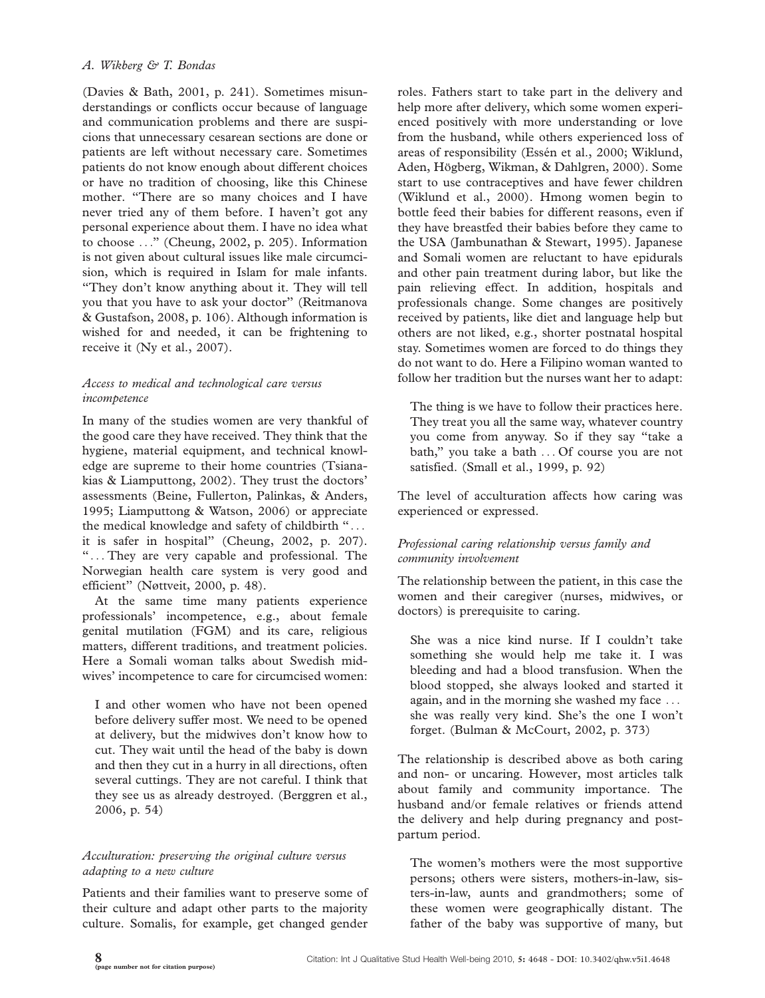#### A. Wikberg & T. Bondas

(Davies & Bath, 2001, p. 241). Sometimes misunderstandings or conflicts occur because of language and communication problems and there are suspicions that unnecessary cesarean sections are done or patients are left without necessary care. Sometimes patients do not know enough about different choices or have no tradition of choosing, like this Chinese mother. ''There are so many choices and I have never tried any of them before. I haven't got any personal experience about them. I have no idea what to choose ...'' (Cheung, 2002, p. 205). Information is not given about cultural issues like male circumcision, which is required in Islam for male infants. ''They don't know anything about it. They will tell you that you have to ask your doctor'' (Reitmanova & Gustafson, 2008, p. 106). Although information is wished for and needed, it can be frightening to receive it (Ny et al., 2007).

#### Access to medical and technological care versus incompetence

In many of the studies women are very thankful of the good care they have received. They think that the hygiene, material equipment, and technical knowledge are supreme to their home countries (Tsianakias & Liamputtong, 2002). They trust the doctors' assessments (Beine, Fullerton, Palinkas, & Anders, 1995; Liamputtong & Watson, 2006) or appreciate the medical knowledge and safety of childbirth ''... it is safer in hospital'' (Cheung, 2002, p. 207). ''... They are very capable and professional. The Norwegian health care system is very good and efficient'' (Nøttveit, 2000, p. 48).

At the same time many patients experience professionals' incompetence, e.g., about female genital mutilation (FGM) and its care, religious matters, different traditions, and treatment policies. Here a Somali woman talks about Swedish midwives' incompetence to care for circumcised women:

I and other women who have not been opened before delivery suffer most. We need to be opened at delivery, but the midwives don't know how to cut. They wait until the head of the baby is down and then they cut in a hurry in all directions, often several cuttings. They are not careful. I think that they see us as already destroyed. (Berggren et al., 2006, p. 54)

#### Acculturation: preserving the original culture versus adapting to a new culture

Patients and their families want to preserve some of their culture and adapt other parts to the majority culture. Somalis, for example, get changed gender roles. Fathers start to take part in the delivery and help more after delivery, which some women experienced positively with more understanding or love from the husband, while others experienced loss of areas of responsibility (Essén et al., 2000; Wiklund, Aden, Högberg, Wikman, & Dahlgren, 2000). Some start to use contraceptives and have fewer children (Wiklund et al., 2000). Hmong women begin to bottle feed their babies for different reasons, even if they have breastfed their babies before they came to the USA (Jambunathan & Stewart, 1995). Japanese and Somali women are reluctant to have epidurals and other pain treatment during labor, but like the pain relieving effect. In addition, hospitals and professionals change. Some changes are positively received by patients, like diet and language help but others are not liked, e.g., shorter postnatal hospital stay. Sometimes women are forced to do things they do not want to do. Here a Filipino woman wanted to follow her tradition but the nurses want her to adapt:

The thing is we have to follow their practices here. They treat you all the same way, whatever country you come from anyway. So if they say ''take a bath,'' you take a bath ... Of course you are not satisfied. (Small et al., 1999, p. 92)

The level of acculturation affects how caring was experienced or expressed.

## Professional caring relationship versus family and community involvement

The relationship between the patient, in this case the women and their caregiver (nurses, midwives, or doctors) is prerequisite to caring.

She was a nice kind nurse. If I couldn't take something she would help me take it. I was bleeding and had a blood transfusion. When the blood stopped, she always looked and started it again, and in the morning she washed my face ... she was really very kind. She's the one I won't forget. (Bulman & McCourt, 2002, p. 373)

The relationship is described above as both caring and non- or uncaring. However, most articles talk about family and community importance. The husband and/or female relatives or friends attend the delivery and help during pregnancy and postpartum period.

The women's mothers were the most supportive persons; others were sisters, mothers-in-law, sisters-in-law, aunts and grandmothers; some of these women were geographically distant. The father of the baby was supportive of many, but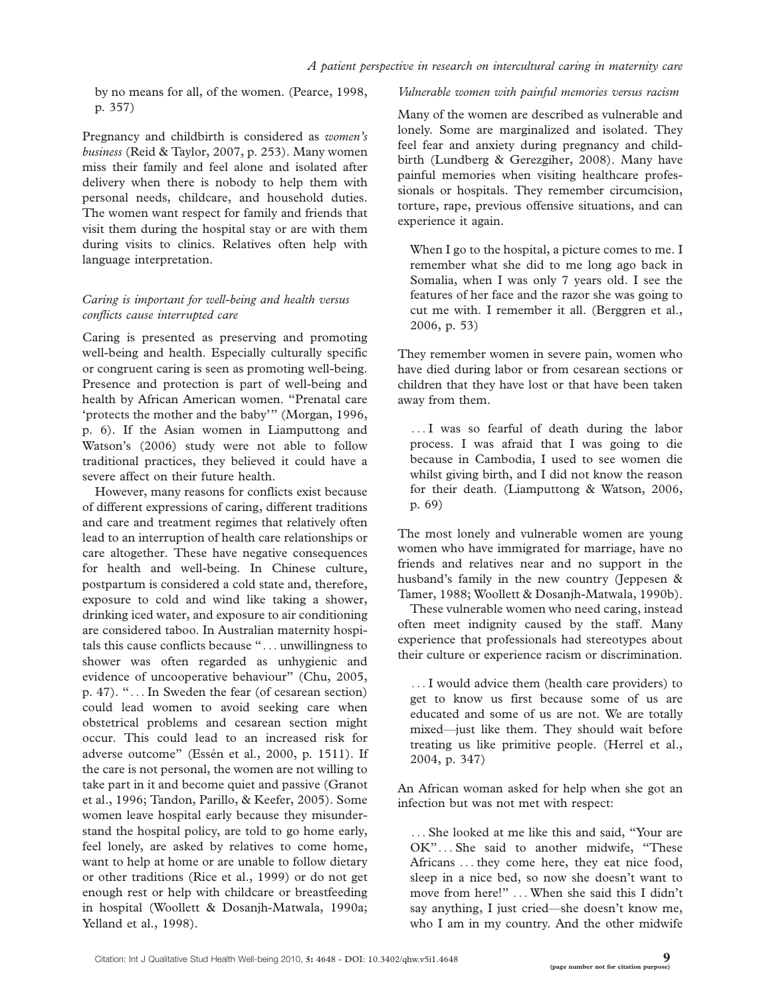by no means for all, of the women. (Pearce, 1998, p. 357)

Pregnancy and childbirth is considered as women's business (Reid & Taylor, 2007, p. 253). Many women miss their family and feel alone and isolated after delivery when there is nobody to help them with personal needs, childcare, and household duties. The women want respect for family and friends that visit them during the hospital stay or are with them during visits to clinics. Relatives often help with language interpretation.

# Caring is important for well-being and health versus conflicts cause interrupted care

Caring is presented as preserving and promoting well-being and health. Especially culturally specific or congruent caring is seen as promoting well-being. Presence and protection is part of well-being and health by African American women. ''Prenatal care 'protects the mother and the baby''' (Morgan, 1996, p. 6). If the Asian women in Liamputtong and Watson's (2006) study were not able to follow traditional practices, they believed it could have a severe affect on their future health.

However, many reasons for conflicts exist because of different expressions of caring, different traditions and care and treatment regimes that relatively often lead to an interruption of health care relationships or care altogether. These have negative consequences for health and well-being. In Chinese culture, postpartum is considered a cold state and, therefore, exposure to cold and wind like taking a shower, drinking iced water, and exposure to air conditioning are considered taboo. In Australian maternity hospitals this cause conflicts because ''... unwillingness to shower was often regarded as unhygienic and evidence of uncooperative behaviour'' (Chu, 2005, p. 47). ''... In Sweden the fear (of cesarean section) could lead women to avoid seeking care when obstetrical problems and cesarean section might occur. This could lead to an increased risk for adverse outcome" (Essén et al., 2000, p. 1511). If the care is not personal, the women are not willing to take part in it and become quiet and passive (Granot et al., 1996; Tandon, Parillo, & Keefer, 2005). Some women leave hospital early because they misunderstand the hospital policy, are told to go home early, feel lonely, are asked by relatives to come home, want to help at home or are unable to follow dietary or other traditions (Rice et al., 1999) or do not get enough rest or help with childcare or breastfeeding in hospital (Woollett & Dosanjh-Matwala, 1990a; Yelland et al., 1998).

Vulnerable women with painful memories versus racism

Many of the women are described as vulnerable and lonely. Some are marginalized and isolated. They feel fear and anxiety during pregnancy and childbirth (Lundberg & Gerezgiher, 2008). Many have painful memories when visiting healthcare professionals or hospitals. They remember circumcision, torture, rape, previous offensive situations, and can experience it again.

When I go to the hospital, a picture comes to me. I remember what she did to me long ago back in Somalia, when I was only 7 years old. I see the features of her face and the razor she was going to cut me with. I remember it all. (Berggren et al., 2006, p. 53)

They remember women in severe pain, women who have died during labor or from cesarean sections or children that they have lost or that have been taken away from them.

... I was so fearful of death during the labor process. I was afraid that I was going to die because in Cambodia, I used to see women die whilst giving birth, and I did not know the reason for their death. (Liamputtong & Watson, 2006, p. 69)

The most lonely and vulnerable women are young women who have immigrated for marriage, have no friends and relatives near and no support in the husband's family in the new country (Jeppesen & Tamer, 1988; Woollett & Dosanjh-Matwala, 1990b).

These vulnerable women who need caring, instead often meet indignity caused by the staff. Many experience that professionals had stereotypes about their culture or experience racism or discrimination.

... I would advice them (health care providers) to get to know us first because some of us are educated and some of us are not. We are totally mixed-just like them. They should wait before treating us like primitive people. (Herrel et al., 2004, p. 347)

An African woman asked for help when she got an infection but was not met with respect:

... She looked at me like this and said, ''Your are OK''... She said to another midwife, ''These Africans ... they come here, they eat nice food, sleep in a nice bed, so now she doesn't want to move from here!'' ... When she said this I didn't say anything, I just cried—she doesn't know me, who I am in my country. And the other midwife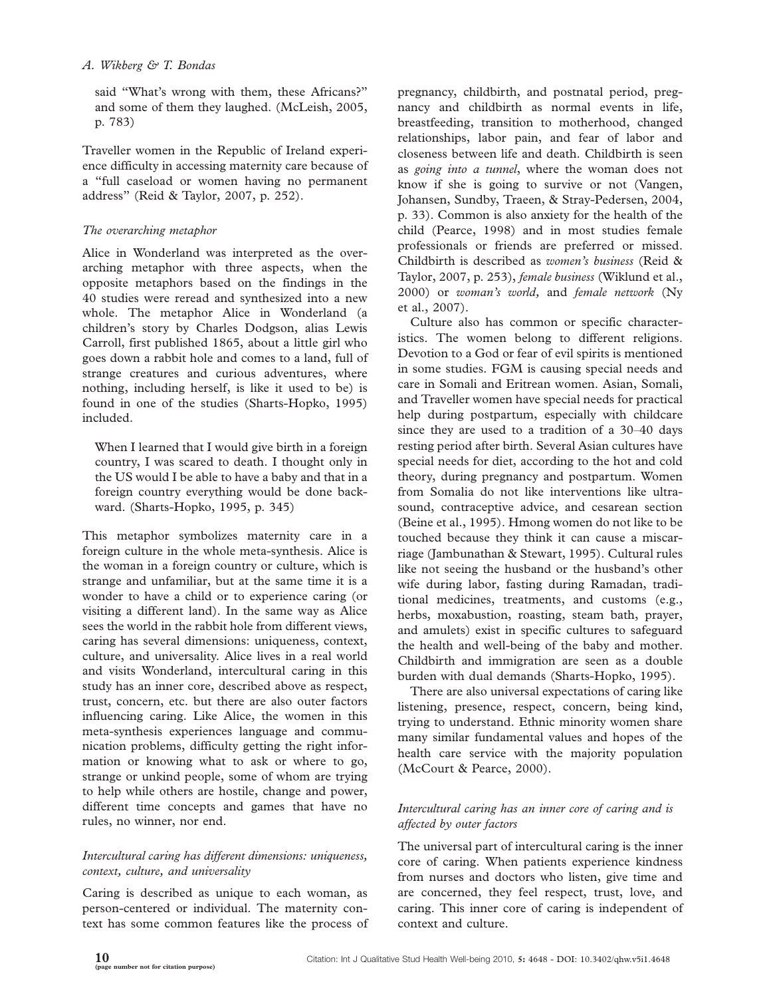said ''What's wrong with them, these Africans?'' and some of them they laughed. (McLeish, 2005, p. 783)

Traveller women in the Republic of Ireland experience difficulty in accessing maternity care because of a ''full caseload or women having no permanent address'' (Reid & Taylor, 2007, p. 252).

# The overarching metaphor

Alice in Wonderland was interpreted as the overarching metaphor with three aspects, when the opposite metaphors based on the findings in the 40 studies were reread and synthesized into a new whole. The metaphor Alice in Wonderland (a children's story by Charles Dodgson, alias Lewis Carroll, first published 1865, about a little girl who goes down a rabbit hole and comes to a land, full of strange creatures and curious adventures, where nothing, including herself, is like it used to be) is found in one of the studies (Sharts-Hopko, 1995) included.

When I learned that I would give birth in a foreign country, I was scared to death. I thought only in the US would I be able to have a baby and that in a foreign country everything would be done backward. (Sharts-Hopko, 1995, p. 345)

This metaphor symbolizes maternity care in a foreign culture in the whole meta-synthesis. Alice is the woman in a foreign country or culture, which is strange and unfamiliar, but at the same time it is a wonder to have a child or to experience caring (or visiting a different land). In the same way as Alice sees the world in the rabbit hole from different views, caring has several dimensions: uniqueness, context, culture, and universality. Alice lives in a real world and visits Wonderland, intercultural caring in this study has an inner core, described above as respect, trust, concern, etc. but there are also outer factors influencing caring. Like Alice, the women in this meta-synthesis experiences language and communication problems, difficulty getting the right information or knowing what to ask or where to go, strange or unkind people, some of whom are trying to help while others are hostile, change and power, different time concepts and games that have no rules, no winner, nor end.

## Intercultural caring has different dimensions: uniqueness, context, culture, and universality

Caring is described as unique to each woman, as person-centered or individual. The maternity context has some common features like the process of pregnancy, childbirth, and postnatal period, pregnancy and childbirth as normal events in life, breastfeeding, transition to motherhood, changed relationships, labor pain, and fear of labor and closeness between life and death. Childbirth is seen as *going into a tunnel*, where the woman does not know if she is going to survive or not (Vangen, Johansen, Sundby, Traeen, & Stray-Pedersen, 2004, p. 33). Common is also anxiety for the health of the child (Pearce, 1998) and in most studies female professionals or friends are preferred or missed. Childbirth is described as women's business (Reid & Taylor, 2007, p. 253), female business (Wiklund et al., 2000) or woman's world, and female network (Ny et al., 2007).

Culture also has common or specific characteristics. The women belong to different religions. Devotion to a God or fear of evil spirits is mentioned in some studies. FGM is causing special needs and care in Somali and Eritrean women. Asian, Somali, and Traveller women have special needs for practical help during postpartum, especially with childcare since they are used to a tradition of a 30-40 days resting period after birth. Several Asian cultures have special needs for diet, according to the hot and cold theory, during pregnancy and postpartum. Women from Somalia do not like interventions like ultrasound, contraceptive advice, and cesarean section (Beine et al., 1995). Hmong women do not like to be touched because they think it can cause a miscarriage (Jambunathan & Stewart, 1995). Cultural rules like not seeing the husband or the husband's other wife during labor, fasting during Ramadan, traditional medicines, treatments, and customs (e.g., herbs, moxabustion, roasting, steam bath, prayer, and amulets) exist in specific cultures to safeguard the health and well-being of the baby and mother. Childbirth and immigration are seen as a double burden with dual demands (Sharts-Hopko, 1995).

There are also universal expectations of caring like listening, presence, respect, concern, being kind, trying to understand. Ethnic minority women share many similar fundamental values and hopes of the health care service with the majority population (McCourt & Pearce, 2000).

# Intercultural caring has an inner core of caring and is affected by outer factors

The universal part of intercultural caring is the inner core of caring. When patients experience kindness from nurses and doctors who listen, give time and are concerned, they feel respect, trust, love, and caring. This inner core of caring is independent of context and culture.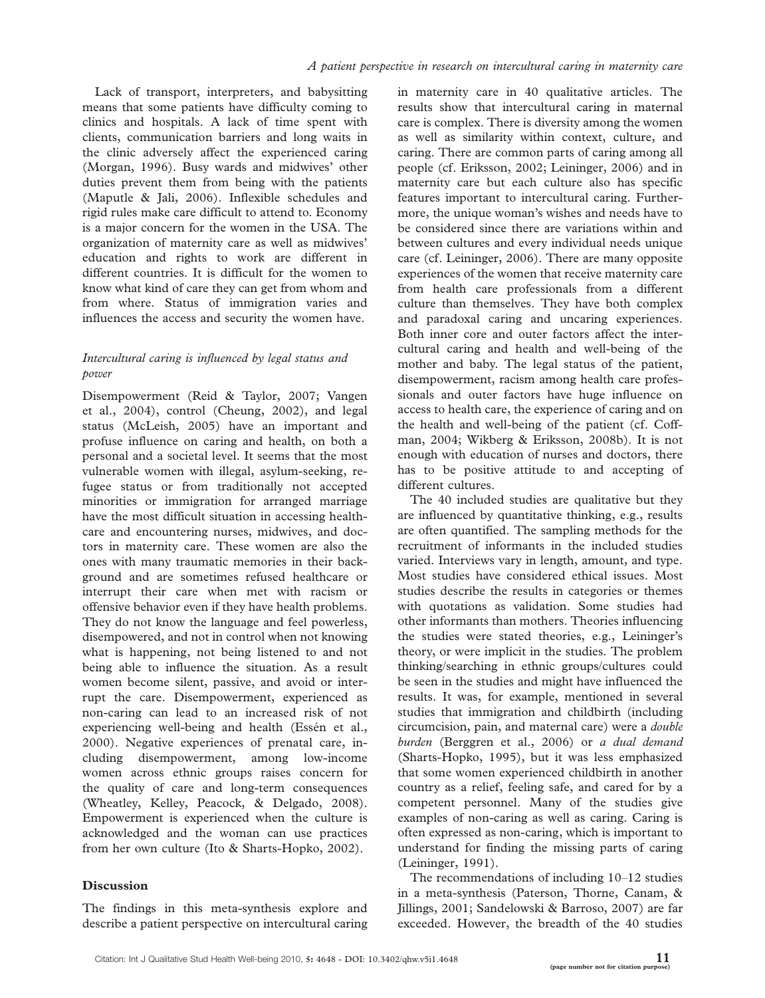Lack of transport, interpreters, and babysitting means that some patients have difficulty coming to clinics and hospitals. A lack of time spent with clients, communication barriers and long waits in the clinic adversely affect the experienced caring (Morgan, 1996). Busy wards and midwives' other duties prevent them from being with the patients (Maputle & Jali, 2006). Inflexible schedules and rigid rules make care difficult to attend to. Economy is a major concern for the women in the USA. The organization of maternity care as well as midwives' education and rights to work are different in different countries. It is difficult for the women to know what kind of care they can get from whom and from where. Status of immigration varies and influences the access and security the women have.

## Intercultural caring is influenced by legal status and power

Disempowerment (Reid & Taylor, 2007; Vangen et al., 2004), control (Cheung, 2002), and legal status (McLeish, 2005) have an important and profuse influence on caring and health, on both a personal and a societal level. It seems that the most vulnerable women with illegal, asylum-seeking, refugee status or from traditionally not accepted minorities or immigration for arranged marriage have the most difficult situation in accessing healthcare and encountering nurses, midwives, and doctors in maternity care. These women are also the ones with many traumatic memories in their background and are sometimes refused healthcare or interrupt their care when met with racism or offensive behavior even if they have health problems. They do not know the language and feel powerless, disempowered, and not in control when not knowing what is happening, not being listened to and not being able to influence the situation. As a result women become silent, passive, and avoid or interrupt the care. Disempowerment, experienced as non-caring can lead to an increased risk of not experiencing well-being and health (Essén et al., 2000). Negative experiences of prenatal care, including disempowerment, among low-income women across ethnic groups raises concern for the quality of care and long-term consequences (Wheatley, Kelley, Peacock, & Delgado, 2008). Empowerment is experienced when the culture is acknowledged and the woman can use practices from her own culture (Ito & Sharts-Hopko, 2002).

## Discussion

The findings in this meta-synthesis explore and describe a patient perspective on intercultural caring in maternity care in 40 qualitative articles. The results show that intercultural caring in maternal care is complex. There is diversity among the women as well as similarity within context, culture, and caring. There are common parts of caring among all people (cf. Eriksson, 2002; Leininger, 2006) and in maternity care but each culture also has specific features important to intercultural caring. Furthermore, the unique woman's wishes and needs have to be considered since there are variations within and between cultures and every individual needs unique care (cf. Leininger, 2006). There are many opposite experiences of the women that receive maternity care from health care professionals from a different culture than themselves. They have both complex and paradoxal caring and uncaring experiences. Both inner core and outer factors affect the intercultural caring and health and well-being of the mother and baby. The legal status of the patient, disempowerment, racism among health care professionals and outer factors have huge influence on access to health care, the experience of caring and on the health and well-being of the patient (cf. Coffman, 2004; Wikberg & Eriksson, 2008b). It is not enough with education of nurses and doctors, there has to be positive attitude to and accepting of different cultures.

The 40 included studies are qualitative but they are influenced by quantitative thinking, e.g., results are often quantified. The sampling methods for the recruitment of informants in the included studies varied. Interviews vary in length, amount, and type. Most studies have considered ethical issues. Most studies describe the results in categories or themes with quotations as validation. Some studies had other informants than mothers. Theories influencing the studies were stated theories, e.g., Leininger's theory, or were implicit in the studies. The problem thinking/searching in ethnic groups/cultures could be seen in the studies and might have influenced the results. It was, for example, mentioned in several studies that immigration and childbirth (including circumcision, pain, and maternal care) were a double burden (Berggren et al., 2006) or a dual demand (Sharts-Hopko, 1995), but it was less emphasized that some women experienced childbirth in another country as a relief, feeling safe, and cared for by a competent personnel. Many of the studies give examples of non-caring as well as caring. Caring is often expressed as non-caring, which is important to understand for finding the missing parts of caring (Leininger, 1991).

The recommendations of including 10-12 studies in a meta-synthesis (Paterson, Thorne, Canam, & Jillings, 2001; Sandelowski & Barroso, 2007) are far exceeded. However, the breadth of the 40 studies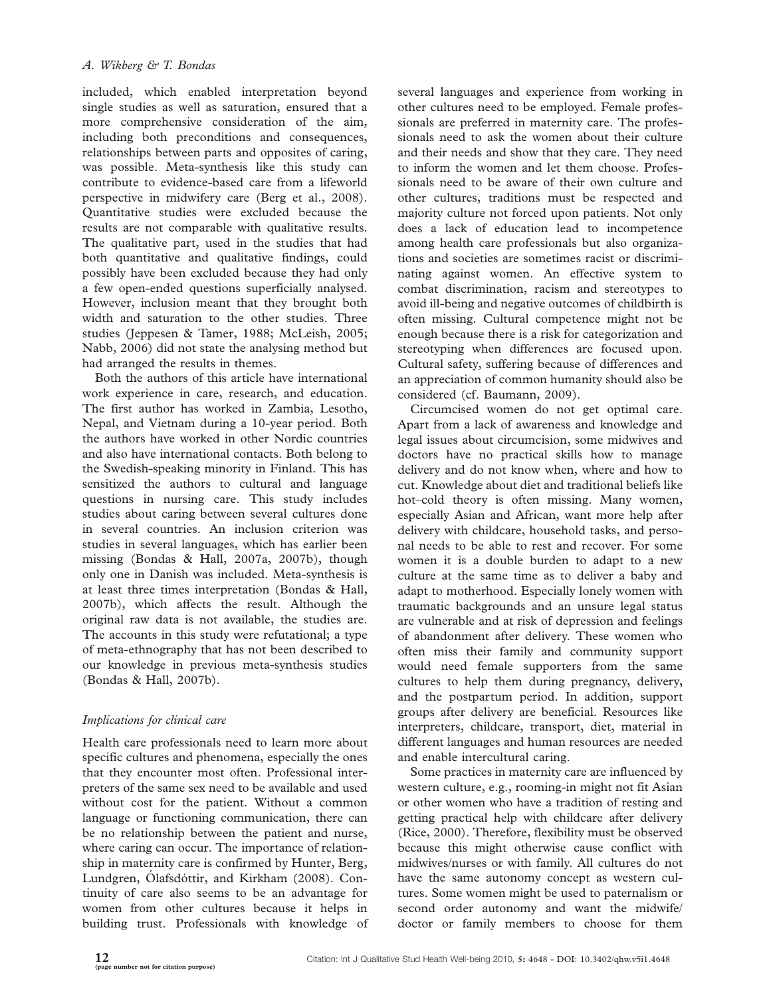included, which enabled interpretation beyond single studies as well as saturation, ensured that a more comprehensive consideration of the aim, including both preconditions and consequences, relationships between parts and opposites of caring, was possible. Meta-synthesis like this study can contribute to evidence-based care from a lifeworld perspective in midwifery care (Berg et al., 2008). Quantitative studies were excluded because the results are not comparable with qualitative results. The qualitative part, used in the studies that had both quantitative and qualitative findings, could possibly have been excluded because they had only a few open-ended questions superficially analysed. However, inclusion meant that they brought both width and saturation to the other studies. Three studies (Jeppesen & Tamer, 1988; McLeish, 2005; Nabb, 2006) did not state the analysing method but had arranged the results in themes.

Both the authors of this article have international work experience in care, research, and education. The first author has worked in Zambia, Lesotho, Nepal, and Vietnam during a 10-year period. Both the authors have worked in other Nordic countries and also have international contacts. Both belong to the Swedish-speaking minority in Finland. This has sensitized the authors to cultural and language questions in nursing care. This study includes studies about caring between several cultures done in several countries. An inclusion criterion was studies in several languages, which has earlier been missing (Bondas & Hall, 2007a, 2007b), though only one in Danish was included. Meta-synthesis is at least three times interpretation (Bondas & Hall, 2007b), which affects the result. Although the original raw data is not available, the studies are. The accounts in this study were refutational; a type of meta-ethnography that has not been described to our knowledge in previous meta-synthesis studies (Bondas & Hall, 2007b).

# Implications for clinical care

Health care professionals need to learn more about specific cultures and phenomena, especially the ones that they encounter most often. Professional interpreters of the same sex need to be available and used without cost for the patient. Without a common language or functioning communication, there can be no relationship between the patient and nurse, where caring can occur. The importance of relationship in maternity care is confirmed by Hunter, Berg, Lundgren, Ólafsdóttir, and Kirkham (2008). Continuity of care also seems to be an advantage for women from other cultures because it helps in building trust. Professionals with knowledge of several languages and experience from working in other cultures need to be employed. Female professionals are preferred in maternity care. The professionals need to ask the women about their culture and their needs and show that they care. They need to inform the women and let them choose. Professionals need to be aware of their own culture and other cultures, traditions must be respected and majority culture not forced upon patients. Not only does a lack of education lead to incompetence among health care professionals but also organizations and societies are sometimes racist or discriminating against women. An effective system to combat discrimination, racism and stereotypes to avoid ill-being and negative outcomes of childbirth is often missing. Cultural competence might not be enough because there is a risk for categorization and stereotyping when differences are focused upon. Cultural safety, suffering because of differences and an appreciation of common humanity should also be considered (cf. Baumann, 2009).

Circumcised women do not get optimal care. Apart from a lack of awareness and knowledge and legal issues about circumcision, some midwives and doctors have no practical skills how to manage delivery and do not know when, where and how to cut. Knowledge about diet and traditional beliefs like hot-cold theory is often missing. Many women, especially Asian and African, want more help after delivery with childcare, household tasks, and personal needs to be able to rest and recover. For some women it is a double burden to adapt to a new culture at the same time as to deliver a baby and adapt to motherhood. Especially lonely women with traumatic backgrounds and an unsure legal status are vulnerable and at risk of depression and feelings of abandonment after delivery. These women who often miss their family and community support would need female supporters from the same cultures to help them during pregnancy, delivery, and the postpartum period. In addition, support groups after delivery are beneficial. Resources like interpreters, childcare, transport, diet, material in different languages and human resources are needed and enable intercultural caring.

Some practices in maternity care are influenced by western culture, e.g., rooming-in might not fit Asian or other women who have a tradition of resting and getting practical help with childcare after delivery (Rice, 2000). Therefore, flexibility must be observed because this might otherwise cause conflict with midwives/nurses or with family. All cultures do not have the same autonomy concept as western cultures. Some women might be used to paternalism or second order autonomy and want the midwife/ doctor or family members to choose for them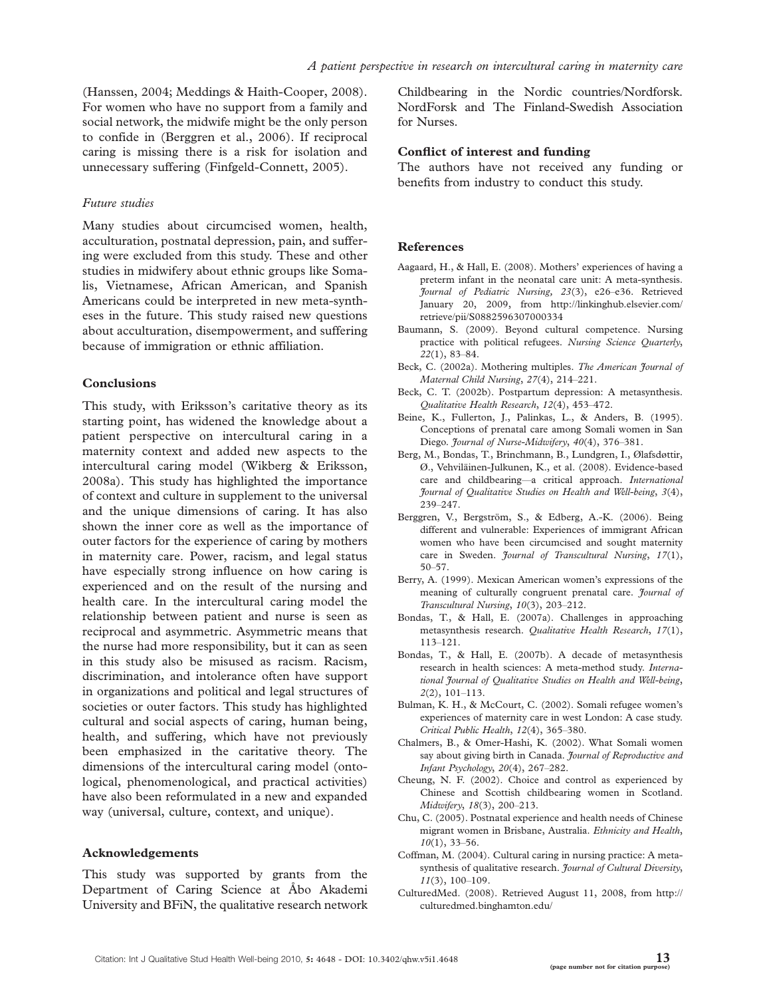(Hanssen, 2004; Meddings & Haith-Cooper, 2008). For women who have no support from a family and social network, the midwife might be the only person to confide in (Berggren et al., 2006). If reciprocal caring is missing there is a risk for isolation and unnecessary suffering (Finfgeld-Connett, 2005).

#### Future studies

Many studies about circumcised women, health, acculturation, postnatal depression, pain, and suffering were excluded from this study. These and other studies in midwifery about ethnic groups like Somalis, Vietnamese, African American, and Spanish Americans could be interpreted in new meta-syntheses in the future. This study raised new questions about acculturation, disempowerment, and suffering because of immigration or ethnic affiliation.

#### **Conclusions**

This study, with Eriksson's caritative theory as its starting point, has widened the knowledge about a patient perspective on intercultural caring in a maternity context and added new aspects to the intercultural caring model (Wikberg & Eriksson, 2008a). This study has highlighted the importance of context and culture in supplement to the universal and the unique dimensions of caring. It has also shown the inner core as well as the importance of outer factors for the experience of caring by mothers in maternity care. Power, racism, and legal status have especially strong influence on how caring is experienced and on the result of the nursing and health care. In the intercultural caring model the relationship between patient and nurse is seen as reciprocal and asymmetric. Asymmetric means that the nurse had more responsibility, but it can as seen in this study also be misused as racism. Racism, discrimination, and intolerance often have support in organizations and political and legal structures of societies or outer factors. This study has highlighted cultural and social aspects of caring, human being, health, and suffering, which have not previously been emphasized in the caritative theory. The dimensions of the intercultural caring model (ontological, phenomenological, and practical activities) have also been reformulated in a new and expanded way (universal, culture, context, and unique).

#### Acknowledgements

This study was supported by grants from the Department of Caring Science at Abo Akademi University and BFiN, the qualitative research network

Childbearing in the Nordic countries/Nordforsk. NordForsk and The Finland-Swedish Association for Nurses.

#### Conflict of interest and funding

The authors have not received any funding or benefits from industry to conduct this study.

#### References

- Aagaard, H., & Hall, E. (2008). Mothers' experiences of having a preterm infant in the neonatal care unit: A meta-synthesis. Journal of Pediatric Nursing, 23(3), e26-e36. Retrieved January 20, 2009, from [http://linkinghub.elsevier.com/](http://linkinghub.elsevier.com/retrieve/pii/S0882596307000334) [retrieve/pii/S0882596307000334](http://linkinghub.elsevier.com/retrieve/pii/S0882596307000334)
- Baumann, S. (2009). Beyond cultural competence. Nursing practice with political refugees. Nursing Science Quarterly, 22(1), 83-84.
- Beck, C. (2002a). Mothering multiples. The American Journal of Maternal Child Nursing, 27(4), 214-221.
- Beck, C. T. (2002b). Postpartum depression: A metasynthesis. Qualitative Health Research, 12(4), 453-472.
- Beine, K., Fullerton, J., Palinkas, L., & Anders, B. (1995). Conceptions of prenatal care among Somali women in San Diego. Journal of Nurse-Midwifery, 40(4), 376-381.
- Berg, M., Bondas, T., Brinchmann, B., Lundgren, I., Ølafsdøttir, Ø., Vehviläinen-Julkunen, K., et al. (2008). Evidence-based care and childbearing-a critical approach. International Journal of Qualitative Studies on Health and Well-being, 3(4), 239-247.
- Berggren, V., Bergström, S., & Edberg, A.-K. (2006). Being different and vulnerable: Experiences of immigrant African women who have been circumcised and sought maternity care in Sweden. Journal of Transcultural Nursing, 17(1), 50-57.
- Berry, A. (1999). Mexican American women's expressions of the meaning of culturally congruent prenatal care. *Journal of* Transcultural Nursing, 10(3), 203-212.
- Bondas, T., & Hall, E. (2007a). Challenges in approaching metasynthesis research. Qualitative Health Research, 17(1), 113-121.
- Bondas, T., & Hall, E. (2007b). A decade of metasynthesis research in health sciences: A meta-method study. International Journal of Qualitative Studies on Health and Well-being, 2(2), 101-113.
- Bulman, K. H., & McCourt, C. (2002). Somali refugee women's experiences of maternity care in west London: A case study. Critical Public Health, 12(4), 365-380.
- Chalmers, B., & Omer-Hashi, K. (2002). What Somali women say about giving birth in Canada. Journal of Reproductive and Infant Psychology, 20(4), 267-282.
- Cheung, N. F. (2002). Choice and control as experienced by Chinese and Scottish childbearing women in Scotland. Midwifery, 18(3), 200-213.
- Chu, C. (2005). Postnatal experience and health needs of Chinese migrant women in Brisbane, Australia. Ethnicity and Health, 10(1), 33-56.
- Coffman, M. (2004). Cultural caring in nursing practice: A metasynthesis of qualitative research. Journal of Cultural Diversity, 11(3), 100-109.
- CulturedMed. (2008). Retrieved August 11, 2008, from [http://](http://culturedmed.binghamton.edu/) [culturedmed.binghamton.edu/](http://culturedmed.binghamton.edu/)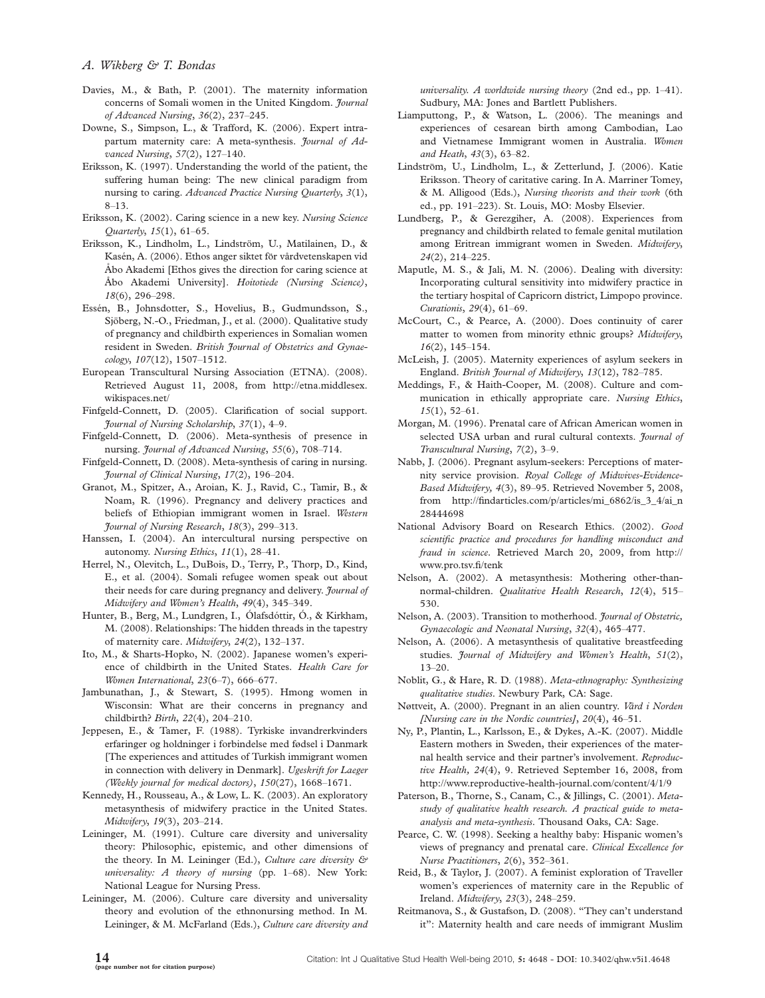#### A. Wikberg & T. Bondas

- Davies, M., & Bath, P. (2001). The maternity information concerns of Somali women in the United Kingdom. Journal of Advanced Nursing, 36(2), 237-245.
- Downe, S., Simpson, L., & Trafford, K. (2006). Expert intrapartum maternity care: A meta-synthesis. Journal of Advanced Nursing, 57(2), 127-140.
- Eriksson, K. (1997). Understanding the world of the patient, the suffering human being: The new clinical paradigm from nursing to caring. Advanced Practice Nursing Quarterly, 3(1), 8-13.
- Eriksson, K. (2002). Caring science in a new key. Nursing Science Quarterly, 15(1), 61-65.
- Eriksson, K., Lindholm, L., Lindström, U., Matilainen, D., & Kasén, A. (2006). Ethos anger siktet för vårdvetenskapen vid Abo Akademi [Ethos gives the direction for caring science at Åbo Akademi University]. Hoitotiede (Nursing Science), 18(6), 296-298.
- Essén, B., Johnsdotter, S., Hovelius, B., Gudmundsson, S., Sjöberg, N.-O., Friedman, J., et al. (2000). Qualitative study of pregnancy and childbirth experiences in Somalian women resident in Sweden. British Journal of Obstetrics and Gynaecology, 107(12), 1507-1512.
- European Transcultural Nursing Association (ETNA). (2008). Retrieved August 11, 2008, from [http://etna.middlesex.](http://etna.middlesex.wikispaces.net/) [wikispaces.net/](http://etna.middlesex.wikispaces.net/)
- Finfgeld-Connett, D. (2005). Clarification of social support. Journal of Nursing Scholarship, 37(1), 4-9.
- Finfgeld-Connett, D. (2006). Meta-synthesis of presence in nursing. Journal of Advanced Nursing, 55(6), 708-714.
- Finfgeld-Connett, D. (2008). Meta-synthesis of caring in nursing. Journal of Clinical Nursing, 17(2), 196-204.
- Granot, M., Spitzer, A., Aroian, K. J., Ravid, C., Tamir, B., & Noam, R. (1996). Pregnancy and delivery practices and beliefs of Ethiopian immigrant women in Israel. Western Journal of Nursing Research, 18(3), 299-313.
- Hanssen, I. (2004). An intercultural nursing perspective on autonomy. Nursing Ethics, 11(1), 28-41.
- Herrel, N., Olevitch, L., DuBois, D., Terry, P., Thorp, D., Kind, E., et al. (2004). Somali refugee women speak out about their needs for care during pregnancy and delivery. Journal of Midwifery and Women's Health, 49(4), 345-349.
- Hunter, B., Berg, M., Lundgren, I., Ólafsdóttir, Ó., & Kirkham, M. (2008). Relationships: The hidden threads in the tapestry of maternity care. Midwifery, 24(2), 132-137.
- Ito, M., & Sharts-Hopko, N. (2002). Japanese women's experience of childbirth in the United States. Health Care for Women International, 23(6-7), 666-677.
- Jambunathan, J., & Stewart, S. (1995). Hmong women in Wisconsin: What are their concerns in pregnancy and childbirth? Birth, 22(4), 204-210.
- Jeppesen, E., & Tamer, F. (1988). Tyrkiske invandrerkvinders erfaringer og holdninger i forbindelse med fødsel i Danmark [The experiences and attitudes of Turkish immigrant women in connection with delivery in Denmark]. Ugeskrift for Laeger (Weekly journal for medical doctors), 150(27), 1668-1671.
- Kennedy, H., Rousseau, A., & Low, L. K. (2003). An exploratory metasynthesis of midwifery practice in the United States. Midwifery, 19(3), 203-214.
- Leininger, M. (1991). Culture care diversity and universality theory: Philosophic, epistemic, and other dimensions of the theory. In M. Leininger (Ed.), Culture care diversity & universality: A theory of nursing (pp. 1-68). New York: National League for Nursing Press.
- Leininger, M. (2006). Culture care diversity and universality theory and evolution of the ethnonursing method. In M. Leininger, & M. McFarland (Eds.), Culture care diversity and

universality. A worldwide nursing theory (2nd ed., pp. 1-41). Sudbury, MA: Jones and Bartlett Publishers.

- Liamputtong, P., & Watson, L. (2006). The meanings and experiences of cesarean birth among Cambodian, Lao and Vietnamese Immigrant women in Australia. Women and Heath, 43(3), 63-82.
- Lindström, U., Lindholm, L., & Zetterlund, J. (2006). Katie Eriksson. Theory of caritative caring. In A. Marriner Tomey, & M. Alligood (Eds.), Nursing theorists and their work (6th ed., pp. 191-223). St. Louis, MO: Mosby Elsevier.
- Lundberg, P., & Gerezgiher, A. (2008). Experiences from pregnancy and childbirth related to female genital mutilation among Eritrean immigrant women in Sweden. Midwifery, 24(2), 214-225.
- Maputle, M. S., & Jali, M. N. (2006). Dealing with diversity: Incorporating cultural sensitivity into midwifery practice in the tertiary hospital of Capricorn district, Limpopo province. Curationis, 29(4), 61-69.
- McCourt, C., & Pearce, A. (2000). Does continuity of carer matter to women from minority ethnic groups? Midwifery, 16(2), 145-154.
- McLeish, J. (2005). Maternity experiences of asylum seekers in England. British Journal of Midwifery, 13(12), 782-785.
- Meddings, F., & Haith-Cooper, M. (2008). Culture and communication in ethically appropriate care. Nursing Ethics, 15(1), 52-61.
- Morgan, M. (1996). Prenatal care of African American women in selected USA urban and rural cultural contexts. Journal of Transcultural Nursing, 7(2), 3-9.
- Nabb, J. (2006). Pregnant asylum-seekers: Perceptions of maternity service provision. Royal College of Midwives-Evidence-Based Midwifery, 4(3), 89-95. Retrieved November 5, 2008, from [http://findarticles.com/p/articles/mi\\_6862/is\\_3\\_4/ai\\_n](http://findarticles.com/p/articles/mi_6862/is_3_4/ai_n28444698) [28444698](http://findarticles.com/p/articles/mi_6862/is_3_4/ai_n28444698)
- National Advisory Board on Research Ethics. (2002). Good scientific practice and procedures for handling misconduct and fraud in science. Retrieved March 20, 2009, from [http://](http://www.pro.tsv.fi/tenk) [www.pro.tsv.fi/tenk](http://www.pro.tsv.fi/tenk)
- Nelson, A. (2002). A metasynthesis: Mothering other-thannormal-children. Qualitative Health Research, 12(4), 515-530.
- Nelson, A. (2003). Transition to motherhood. Journal of Obstetric, Gynaecologic and Neonatal Nursing, 32(4), 465-477.
- Nelson, A. (2006). A metasynthesis of qualitative breastfeeding studies. Journal of Midwifery and Women's Health, 51(2), 13-20.
- Noblit, G., & Hare, R. D. (1988). Meta-ethnography: Synthesizing qualitative studies. Newbury Park, CA: Sage.
- Nøttveit, A. (2000). Pregnant in an alien country. Vård i Norden [Nursing care in the Nordic countries], 20(4), 46-51.
- Ny, P., Plantin, L., Karlsson, E., & Dykes, A.-K. (2007). Middle Eastern mothers in Sweden, their experiences of the maternal health service and their partner's involvement. Reproductive Health, 24(4), 9. Retrieved September 16, 2008, from <http://www.reproductive-health-journal.com/content/4/1/9>
- Paterson, B., Thorne, S., Canam, C., & Jillings, C. (2001). Metastudy of qualitative health research. A practical guide to metaanalysis and meta-synthesis. Thousand Oaks, CA: Sage.
- Pearce, C. W. (1998). Seeking a healthy baby: Hispanic women's views of pregnancy and prenatal care. Clinical Excellence for Nurse Practitioners, 2(6), 352-361.
- Reid, B., & Taylor, J. (2007). A feminist exploration of Traveller women's experiences of maternity care in the Republic of Ireland. Midwifery, 23(3), 248-259.
- Reitmanova, S., & Gustafson, D. (2008). ''They can't understand it'': Maternity health and care needs of immigrant Muslim